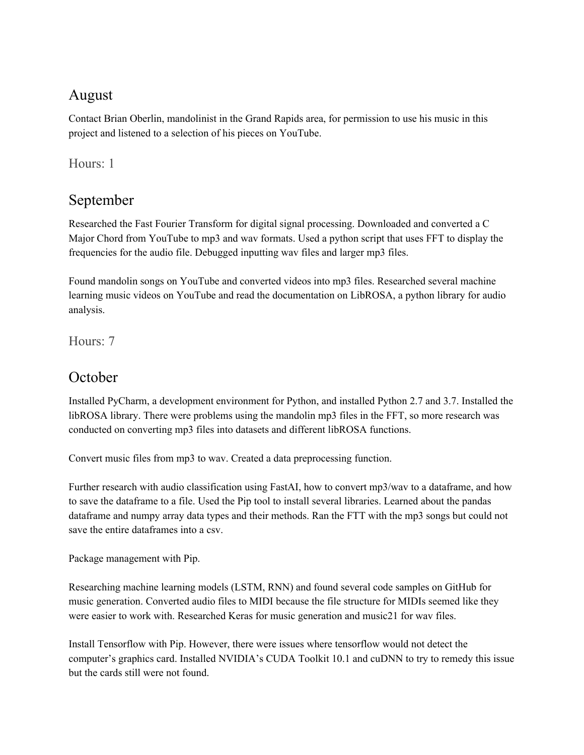### August

Contact Brian Oberlin, mandolinist in the Grand Rapids area, for permission to use his music in this project and listened to a selection of his pieces on YouTube.

Hours: 1

# September

Researched the Fast Fourier Transform for digital signal processing. Downloaded and converted a C Major Chord from YouTube to mp3 and wav formats. Used a python script that uses FFT to display the frequencies for the audio file. Debugged inputting wav files and larger mp3 files.

Found mandolin songs on YouTube and converted videos into mp3 files. Researched several machine learning music videos on YouTube and read the documentation on LibROSA, a python library for audio analysis.

Hours: 7

## **October**

Installed PyCharm, a development environment for Python, and installed Python 2.7 and 3.7. Installed the libROSA library. There were problems using the mandolin mp3 files in the FFT, so more research was conducted on converting mp3 files into datasets and different libROSA functions.

Convert music files from mp3 to wav. Created a data preprocessing function.

Further research with audio classification using FastAI, how to convert mp3/wav to a dataframe, and how to save the dataframe to a file. Used the Pip tool to install several libraries. Learned about the pandas dataframe and numpy array data types and their methods. Ran the FTT with the mp3 songs but could not save the entire dataframes into a csv.

Package management with Pip.

Researching machine learning models (LSTM, RNN) and found several code samples on GitHub for music generation. Converted audio files to MIDI because the file structure for MIDIs seemed like they were easier to work with. Researched Keras for music generation and music21 for wav files.

Install Tensorflow with Pip. However, there were issues where tensorflow would not detect the computer's graphics card. Installed NVIDIA's CUDA Toolkit 10.1 and cuDNN to try to remedy this issue but the cards still were not found.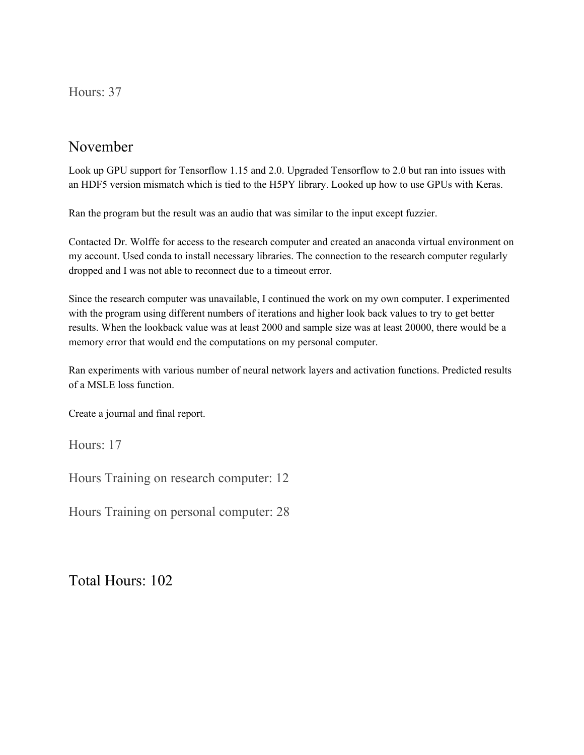#### Hours: 37

### November

Look up GPU support for Tensorflow 1.15 and 2.0. Upgraded Tensorflow to 2.0 but ran into issues with an HDF5 version mismatch which is tied to the H5PY library. Looked up how to use GPUs with Keras.

Ran the program but the result was an audio that was similar to the input except fuzzier.

Contacted Dr. Wolffe for access to the research computer and created an anaconda virtual environment on my account. Used conda to install necessary libraries. The connection to the research computer regularly dropped and I was not able to reconnect due to a timeout error.

Since the research computer was unavailable, I continued the work on my own computer. I experimented with the program using different numbers of iterations and higher look back values to try to get better results. When the lookback value was at least 2000 and sample size was at least 20000, there would be a memory error that would end the computations on my personal computer.

Ran experiments with various number of neural network layers and activation functions. Predicted results of a MSLE loss function.

Create a journal and final report.

Hours: 17

Hours Training on research computer: 12

Hours Training on personal computer: 28

Total Hours: 102